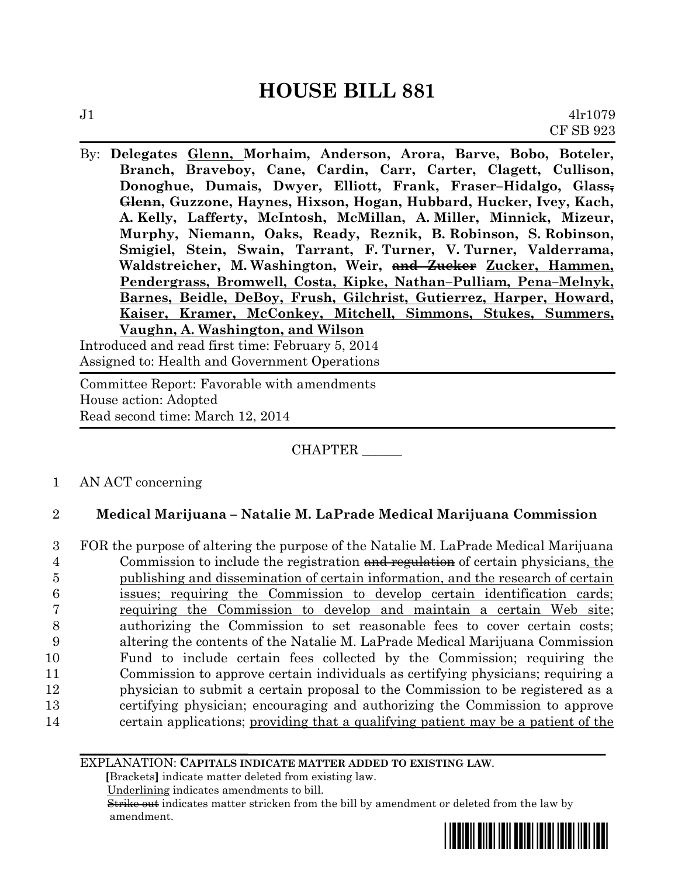By: **Delegates Glenn, Morhaim, Anderson, Arora, Barve, Bobo, Boteler, Branch, Braveboy, Cane, Cardin, Carr, Carter, Clagett, Cullison, Donoghue, Dumais, Dwyer, Elliott, Frank, Fraser–Hidalgo, Glass, Glenn, Guzzone, Haynes, Hixson, Hogan, Hubbard, Hucker, Ivey, Kach, A. Kelly, Lafferty, McIntosh, McMillan, A. Miller, Minnick, Mizeur, Murphy, Niemann, Oaks, Ready, Reznik, B. Robinson, S. Robinson, Smigiel, Stein, Swain, Tarrant, F. Turner, V. Turner, Valderrama, Waldstreicher, M. Washington, Weir, and Zucker Zucker, Hammen, Pendergrass, Bromwell, Costa, Kipke, Nathan–Pulliam, Pena–Melnyk, Barnes, Beidle, DeBoy, Frush, Gilchrist, Gutierrez, Harper, Howard, Kaiser, Kramer, McConkey, Mitchell, Simmons, Stukes, Summers, Vaughn, A. Washington, and Wilson**

Introduced and read first time: February 5, 2014 Assigned to: Health and Government Operations

Committee Report: Favorable with amendments House action: Adopted Read second time: March 12, 2014

CHAPTER \_\_\_\_\_\_

1 AN ACT concerning

# 2 **Medical Marijuana – Natalie M. LaPrade Medical Marijuana Commission**

 FOR the purpose of altering the purpose of the Natalie M. LaPrade Medical Marijuana 4 Commission to include the registration and regulation of certain physicians, the publishing and dissemination of certain information, and the research of certain issues; requiring the Commission to develop certain identification cards; requiring the Commission to develop and maintain a certain Web site; authorizing the Commission to set reasonable fees to cover certain costs; altering the contents of the Natalie M. LaPrade Medical Marijuana Commission Fund to include certain fees collected by the Commission; requiring the Commission to approve certain individuals as certifying physicians; requiring a physician to submit a certain proposal to the Commission to be registered as a certifying physician; encouraging and authorizing the Commission to approve certain applications; providing that a qualifying patient may be a patient of the

EXPLANATION: **CAPITALS INDICATE MATTER ADDED TO EXISTING LAW**.

 **[**Brackets**]** indicate matter deleted from existing law.

Underlining indicates amendments to bill.

 Strike out indicates matter stricken from the bill by amendment or deleted from the law by amendment.

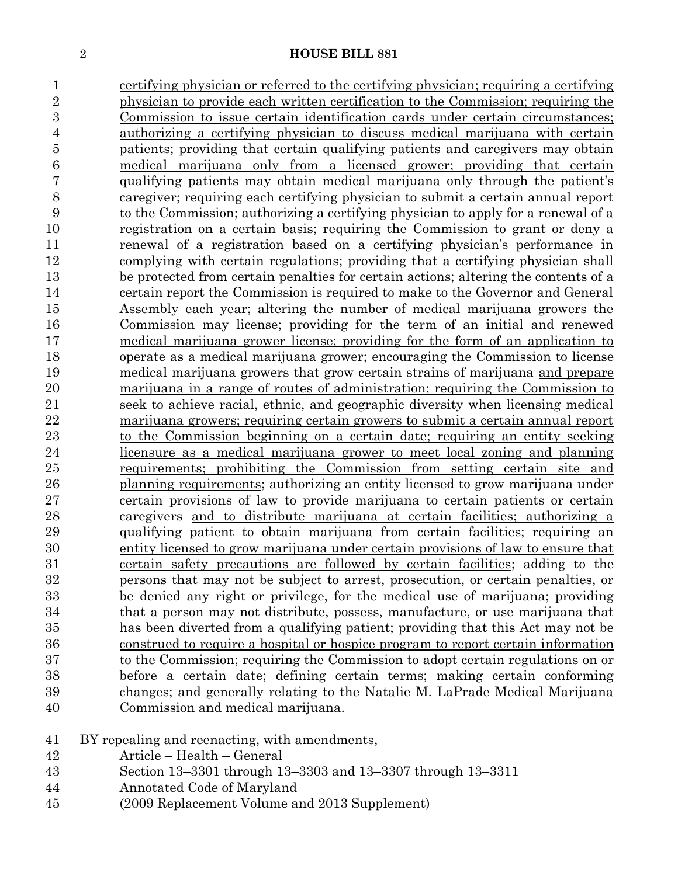certifying physician or referred to the certifying physician; requiring a certifying physician to provide each written certification to the Commission; requiring the Commission to issue certain identification cards under certain circumstances; authorizing a certifying physician to discuss medical marijuana with certain patients; providing that certain qualifying patients and caregivers may obtain medical marijuana only from a licensed grower; providing that certain qualifying patients may obtain medical marijuana only through the patient's caregiver; requiring each certifying physician to submit a certain annual report to the Commission; authorizing a certifying physician to apply for a renewal of a registration on a certain basis; requiring the Commission to grant or deny a renewal of a registration based on a certifying physician's performance in complying with certain regulations; providing that a certifying physician shall be protected from certain penalties for certain actions; altering the contents of a certain report the Commission is required to make to the Governor and General Assembly each year; altering the number of medical marijuana growers the Commission may license; providing for the term of an initial and renewed medical marijuana grower license; providing for the form of an application to operate as a medical marijuana grower; encouraging the Commission to license medical marijuana growers that grow certain strains of marijuana and prepare marijuana in a range of routes of administration; requiring the Commission to seek to achieve racial, ethnic, and geographic diversity when licensing medical marijuana growers; requiring certain growers to submit a certain annual report to the Commission beginning on a certain date; requiring an entity seeking licensure as a medical marijuana grower to meet local zoning and planning requirements; prohibiting the Commission from setting certain site and 26 planning requirements; authorizing an entity licensed to grow marijuana under certain provisions of law to provide marijuana to certain patients or certain caregivers and to distribute marijuana at certain facilities; authorizing a qualifying patient to obtain marijuana from certain facilities; requiring an entity licensed to grow marijuana under certain provisions of law to ensure that certain safety precautions are followed by certain facilities; adding to the persons that may not be subject to arrest, prosecution, or certain penalties, or be denied any right or privilege, for the medical use of marijuana; providing that a person may not distribute, possess, manufacture, or use marijuana that has been diverted from a qualifying patient; providing that this Act may not be construed to require a hospital or hospice program to report certain information 37 to the Commission; requiring the Commission to adopt certain regulations on or before a certain date; defining certain terms; making certain conforming changes; and generally relating to the Natalie M. LaPrade Medical Marijuana Commission and medical marijuana.

# BY repealing and reenacting, with amendments,

- Article Health General
- Section 13–3301 through 13–3303 and 13–3307 through 13–3311
- Annotated Code of Maryland
- (2009 Replacement Volume and 2013 Supplement)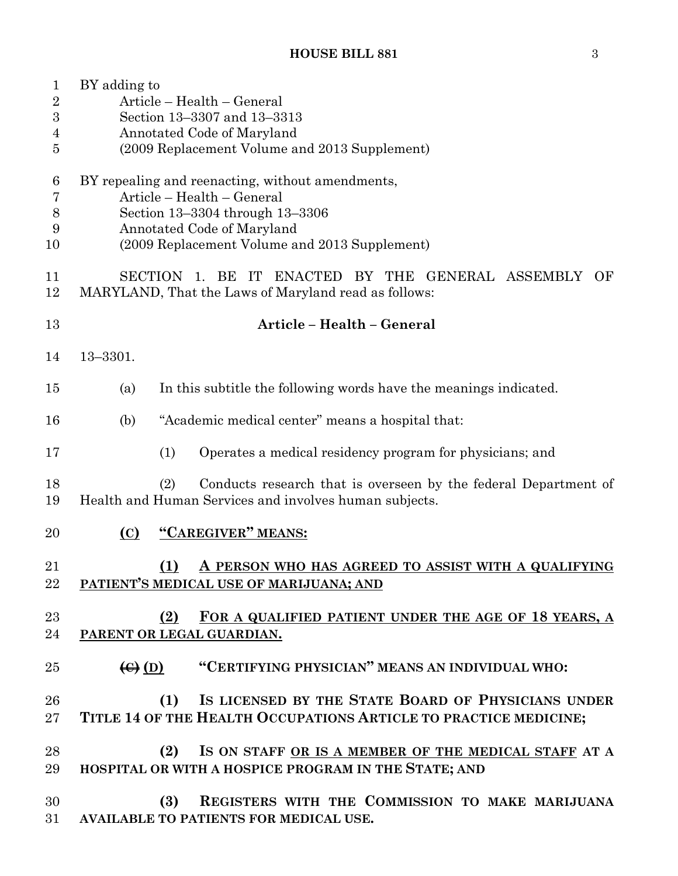| $\mathbf{1}$<br>$\overline{2}$<br>$\boldsymbol{3}$<br>4<br>5 | BY adding to<br>Article - Health - General<br>Section 13-3307 and 13-3313<br>Annotated Code of Maryland<br>(2009 Replacement Volume and 2013 Supplement)                                         |  |  |  |  |  |  |  |  |
|--------------------------------------------------------------|--------------------------------------------------------------------------------------------------------------------------------------------------------------------------------------------------|--|--|--|--|--|--|--|--|
| 6<br>7<br>8<br>9<br>10                                       | BY repealing and reenacting, without amendments,<br>Article - Health - General<br>Section 13-3304 through 13-3306<br>Annotated Code of Maryland<br>(2009 Replacement Volume and 2013 Supplement) |  |  |  |  |  |  |  |  |
| 11<br>12                                                     | <b>SECTION</b><br>1. BE<br>ENACTED BY THE GENERAL ASSEMBLY<br>$\Gamma$<br>– OF<br>MARYLAND, That the Laws of Maryland read as follows:                                                           |  |  |  |  |  |  |  |  |
| 13                                                           | Article - Health - General                                                                                                                                                                       |  |  |  |  |  |  |  |  |
| 14                                                           | $13 - 3301.$                                                                                                                                                                                     |  |  |  |  |  |  |  |  |
| 15                                                           | In this subtitle the following words have the meanings indicated.<br>(a)                                                                                                                         |  |  |  |  |  |  |  |  |
| 16                                                           | "Academic medical center" means a hospital that:<br>(b)                                                                                                                                          |  |  |  |  |  |  |  |  |
| 17                                                           | (1)<br>Operates a medical residency program for physicians; and                                                                                                                                  |  |  |  |  |  |  |  |  |
| 18<br>19                                                     | (2)<br>Conducts research that is overseen by the federal Department of<br>Health and Human Services and involves human subjects.                                                                 |  |  |  |  |  |  |  |  |
| 20                                                           | "CAREGIVER" MEANS:<br>(C)                                                                                                                                                                        |  |  |  |  |  |  |  |  |
| 21<br>22                                                     | (1)<br>A PERSON WHO HAS AGREED TO ASSIST WITH A QUALIFYING<br>PATIENT'S MEDICAL USE OF MARIJUANA; AND                                                                                            |  |  |  |  |  |  |  |  |
| 23<br>24                                                     | (2)<br>FOR A QUALIFIED PATIENT UNDER THE AGE OF 18 YEARS, A<br>PARENT OR LEGAL GUARDIAN.                                                                                                         |  |  |  |  |  |  |  |  |
| 25                                                           | "CERTIFYING PHYSICIAN" MEANS AN INDIVIDUAL WHO:<br>$\left(\bigoplus\right)$ (D)                                                                                                                  |  |  |  |  |  |  |  |  |
| 26<br>$27\,$                                                 | IS LICENSED BY THE STATE BOARD OF PHYSICIANS UNDER<br>(1)<br>TITLE 14 OF THE HEALTH OCCUPATIONS ARTICLE TO PRACTICE MEDICINE;                                                                    |  |  |  |  |  |  |  |  |
| 28<br>29                                                     | IS ON STAFF OR IS A MEMBER OF THE MEDICAL STAFF AT A<br>(2)<br>HOSPITAL OR WITH A HOSPICE PROGRAM IN THE STATE; AND                                                                              |  |  |  |  |  |  |  |  |
| 30<br>31                                                     | REGISTERS WITH THE COMMISSION TO MAKE MARIJUANA<br>(3)<br>AVAILABLE TO PATIENTS FOR MEDICAL USE.                                                                                                 |  |  |  |  |  |  |  |  |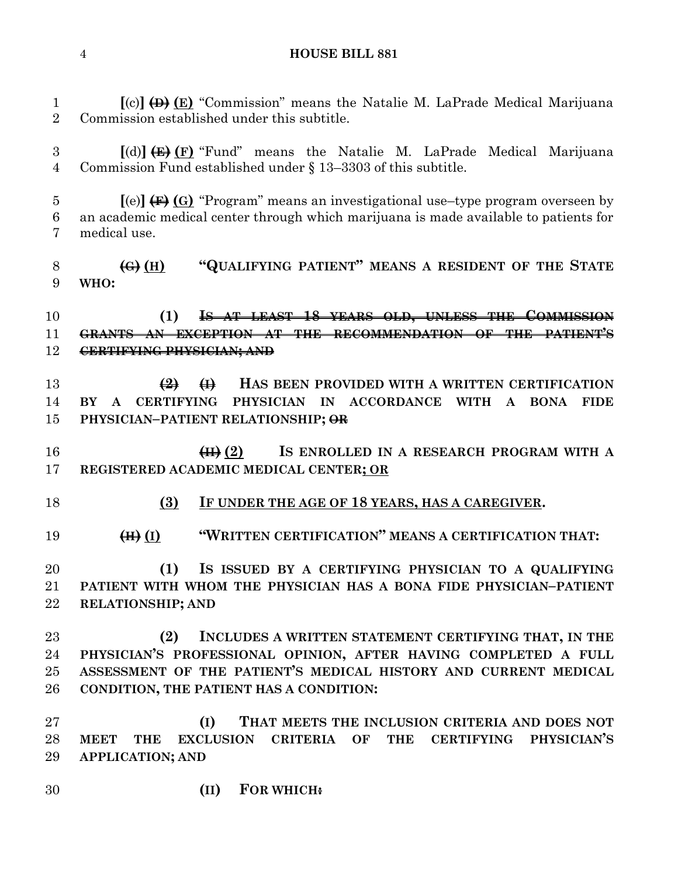**[**(c)**] (D) (E)** "Commission" means the Natalie M. LaPrade Medical Marijuana Commission established under this subtitle. **[**(d)**] (E) (F)** "Fund" means the Natalie M. LaPrade Medical Marijuana Commission Fund established under § 13–3303 of this subtitle. **[**(e)**] (F) (G)** "Program" means an investigational use–type program overseen by an academic medical center through which marijuana is made available to patients for medical use. **(G) (H) "QUALIFYING PATIENT" MEANS A RESIDENT OF THE STATE WHO: (1) IS AT LEAST 18 YEARS OLD, UNLESS THE COMMISSION GRANTS AN EXCEPTION AT THE RECOMMENDATION OF THE PATIENT'S CERTIFYING PHYSICIAN; AND (2) (I) HAS BEEN PROVIDED WITH A WRITTEN CERTIFICATION BY A CERTIFYING PHYSICIAN IN ACCORDANCE WITH A BONA FIDE PHYSICIAN–PATIENT RELATIONSHIP; OR (II) (2) IS ENROLLED IN A RESEARCH PROGRAM WITH A REGISTERED ACADEMIC MEDICAL CENTER; OR (3) IF UNDER THE AGE OF 18 YEARS, HAS A CAREGIVER. (H) (I) "WRITTEN CERTIFICATION" MEANS A CERTIFICATION THAT: (1) IS ISSUED BY A CERTIFYING PHYSICIAN TO A QUALIFYING PATIENT WITH WHOM THE PHYSICIAN HAS A BONA FIDE PHYSICIAN–PATIENT RELATIONSHIP; AND (2) INCLUDES A WRITTEN STATEMENT CERTIFYING THAT, IN THE PHYSICIAN'S PROFESSIONAL OPINION, AFTER HAVING COMPLETED A FULL ASSESSMENT OF THE PATIENT'S MEDICAL HISTORY AND CURRENT MEDICAL CONDITION, THE PATIENT HAS A CONDITION: (I) THAT MEETS THE INCLUSION CRITERIA AND DOES NOT MEET THE EXCLUSION CRITERIA OF THE CERTIFYING PHYSICIAN'S APPLICATION; AND (II) FOR WHICH:**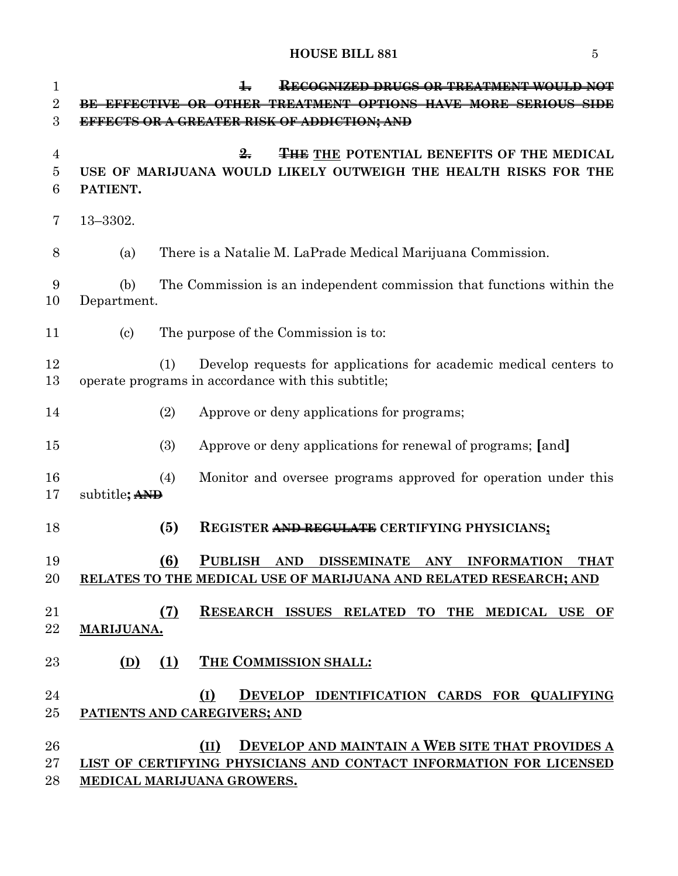| $\mathbf{1}$       | KECOGNIZED DRUGS OR TREATMENT                                                                                                                                              |  |  |  |  |  |  |  |
|--------------------|----------------------------------------------------------------------------------------------------------------------------------------------------------------------------|--|--|--|--|--|--|--|
| $\overline{2}$     | BE EFFECTIVE OR OTHER<br>-TREATMENT OPTIONS HAVE MORE SERIOUS SIDE                                                                                                         |  |  |  |  |  |  |  |
| 3                  | EFFECTS OR A GREATER RISK OF ADDICTION; AND                                                                                                                                |  |  |  |  |  |  |  |
| 4<br>5<br>6        | <b>THE THE POTENTIAL BENEFITS OF THE MEDICAL</b><br>$\frac{9}{2}$<br>USE OF MARIJUANA WOULD LIKELY OUTWEIGH THE HEALTH RISKS FOR THE<br>PATIENT.                           |  |  |  |  |  |  |  |
| 7                  | $13 - 3302.$                                                                                                                                                               |  |  |  |  |  |  |  |
| 8                  | There is a Natalie M. LaPrade Medical Marijuana Commission.<br>(a)                                                                                                         |  |  |  |  |  |  |  |
| 9<br>10            | The Commission is an independent commission that functions within the<br>(b)<br>Department.                                                                                |  |  |  |  |  |  |  |
| 11                 | $\left( \text{c}\right)$<br>The purpose of the Commission is to:                                                                                                           |  |  |  |  |  |  |  |
| 12<br>13           | Develop requests for applications for academic medical centers to<br>(1)<br>operate programs in accordance with this subtitle;                                             |  |  |  |  |  |  |  |
| 14                 | (2)<br>Approve or deny applications for programs;                                                                                                                          |  |  |  |  |  |  |  |
| 15                 | (3)<br>Approve or deny applications for renewal of programs; [and]                                                                                                         |  |  |  |  |  |  |  |
| 16<br>17           | Monitor and oversee programs approved for operation under this<br>(4)<br>subtitle; AND                                                                                     |  |  |  |  |  |  |  |
| 18                 | (5)<br><b>REGISTER AND REGULATE CERTIFYING PHYSICIANS:</b>                                                                                                                 |  |  |  |  |  |  |  |
| 19<br>20           | (6)<br><b>PUBLISH</b><br><b>AND</b><br><b>DISSEMINATE</b><br><b>INFORMATION</b><br>ANY<br><b>THAT</b><br>RELATES TO THE MEDICAL USE OF MARIJUANA AND RELATED RESEARCH; AND |  |  |  |  |  |  |  |
| 21<br>22           | (7)<br>RESEARCH ISSUES RELATED TO THE MEDICAL USE OF<br>MARIJUANA.                                                                                                         |  |  |  |  |  |  |  |
| 23                 | THE COMMISSION SHALL:<br>(1)<br>(D)                                                                                                                                        |  |  |  |  |  |  |  |
| 24<br>25           | DEVELOP IDENTIFICATION CARDS FOR QUALIFYING<br>(I)<br>PATIENTS AND CAREGIVERS; AND                                                                                         |  |  |  |  |  |  |  |
| 26<br>$27\,$<br>28 | DEVELOP AND MAINTAIN A WEB SITE THAT PROVIDES A<br>(II)<br>LIST OF CERTIFYING PHYSICIANS AND CONTACT INFORMATION FOR LICENSED<br>MEDICAL MARIJUANA GROWERS.                |  |  |  |  |  |  |  |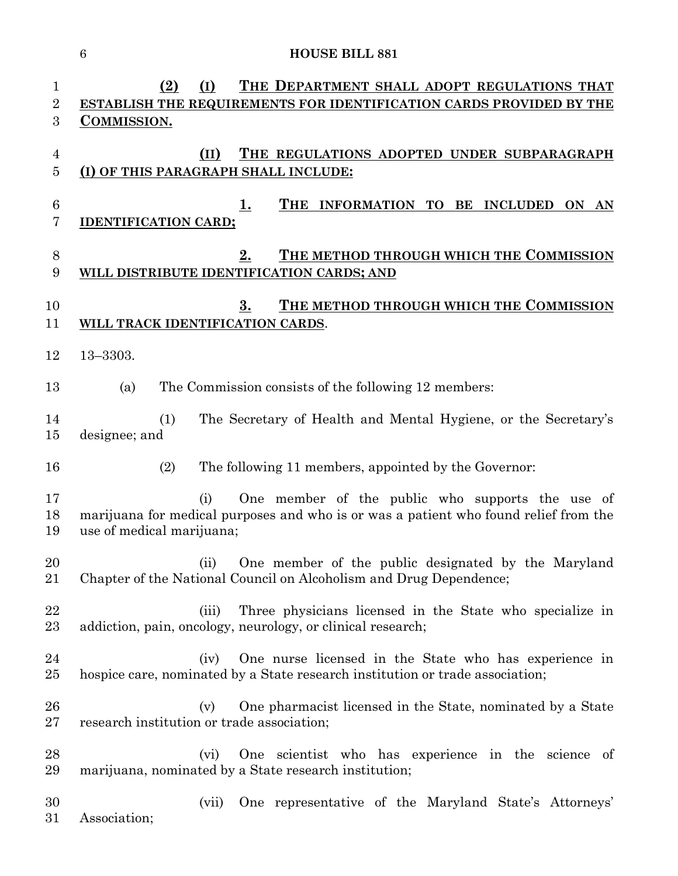| 1<br>$\sqrt{2}$<br>3              | (2)<br>(I)<br>THE DEPARTMENT SHALL ADOPT REGULATIONS THAT<br>ESTABLISH THE REQUIREMENTS FOR IDENTIFICATION CARDS PROVIDED BY THE<br><b>COMMISSION.</b>                       |
|-----------------------------------|------------------------------------------------------------------------------------------------------------------------------------------------------------------------------|
| 4<br>$\overline{5}$               | THE REGULATIONS ADOPTED UNDER SUBPARAGRAPH<br>(II)<br>(I) OF THIS PARAGRAPH SHALL INCLUDE:                                                                                   |
| $6\phantom{.}6$<br>$\overline{7}$ | THE<br>INFORMATION TO<br>BE<br><b>INCLUDED</b><br><u>1.</u><br>ON AN<br><b>IDENTIFICATION CARD;</b>                                                                          |
| 8<br>$9\phantom{.0}$              | 2.<br>THE METHOD THROUGH WHICH THE COMMISSION<br>WILL DISTRIBUTE IDENTIFICATION CARDS; AND                                                                                   |
| 10<br>11                          | THE METHOD THROUGH WHICH THE COMMISSION<br>3.<br>WILL TRACK IDENTIFICATION CARDS.                                                                                            |
| 12                                | $13 - 3303.$                                                                                                                                                                 |
| 13                                | The Commission consists of the following 12 members:<br>(a)                                                                                                                  |
| 14<br>15                          | The Secretary of Health and Mental Hygiene, or the Secretary's<br>(1)<br>designee; and                                                                                       |
| 16                                | (2)<br>The following 11 members, appointed by the Governor:                                                                                                                  |
| 17<br>18<br>19                    | One member of the public who supports the use of<br>(i)<br>marijuana for medical purposes and who is or was a patient who found relief from the<br>use of medical marijuana; |
| 20<br>21                          | One member of the public designated by the Maryland<br>(ii)<br>Chapter of the National Council on Alcoholism and Drug Dependence;                                            |
| 22<br>23                          | Three physicians licensed in the State who specialize in<br>(iii)<br>addiction, pain, oncology, neurology, or clinical research;                                             |
| 24<br>25                          | One nurse licensed in the State who has experience in<br>(iv)<br>hospice care, nominated by a State research institution or trade association;                               |
| 26<br>27                          | One pharmacist licensed in the State, nominated by a State<br>(v)<br>research institution or trade association;                                                              |
| 28<br>29                          | (vi)<br>One scientist who has experience in the science of<br>marijuana, nominated by a State research institution;                                                          |

 (vii) One representative of the Maryland State's Attorneys' Association;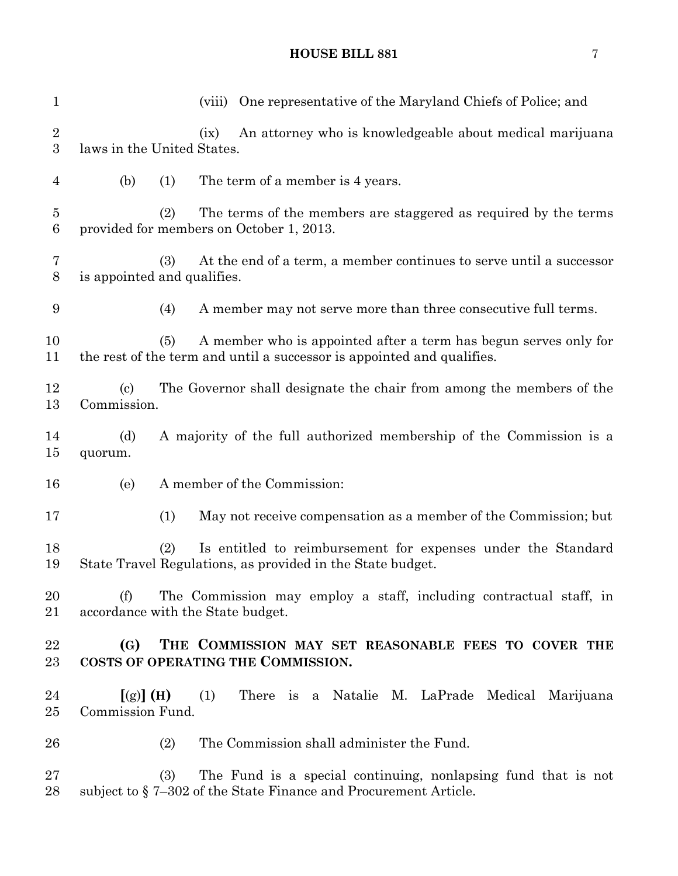| $\mathbf{1}$                       | One representative of the Maryland Chiefs of Police; and<br>(viii)                                                                                |
|------------------------------------|---------------------------------------------------------------------------------------------------------------------------------------------------|
| $\boldsymbol{2}$<br>3              | An attorney who is knowledgeable about medical marijuana<br>(ix)<br>laws in the United States.                                                    |
| 4                                  | The term of a member is 4 years.<br>(b)<br>(1)                                                                                                    |
| $\overline{5}$<br>$\boldsymbol{6}$ | (2)<br>The terms of the members are staggered as required by the terms<br>provided for members on October 1, 2013.                                |
| $\overline{7}$<br>$8\,$            | (3)<br>At the end of a term, a member continues to serve until a successor<br>is appointed and qualifies.                                         |
| 9                                  | A member may not serve more than three consecutive full terms.<br>(4)                                                                             |
| 10<br>11                           | A member who is appointed after a term has begun serves only for<br>(5)<br>the rest of the term and until a successor is appointed and qualifies. |
| 12<br>13                           | The Governor shall designate the chair from among the members of the<br>$\left( \mathrm{c}\right)$<br>Commission.                                 |
| 14<br>15                           | A majority of the full authorized membership of the Commission is a<br>(d)<br>quorum.                                                             |
| 16                                 | A member of the Commission:<br>(e)                                                                                                                |
| 17                                 | May not receive compensation as a member of the Commission; but<br>(1)                                                                            |
| 18<br>19                           | (2)<br>Is entitled to reimbursement for expenses under the Standard<br>State Travel Regulations, as provided in the State budget.                 |
| 20<br>21                           | The Commission may employ a staff, including contractual staff, in<br>(f)<br>accordance with the State budget.                                    |
| 22<br>23                           | THE COMMISSION MAY SET REASONABLE FEES TO COVER THE<br>(G)<br>COSTS OF OPERATING THE COMMISSION.                                                  |
| 24<br>25                           | There is a Natalie M. LaPrade Medical Marijuana<br>$[(g)]$ (H)<br>(1)<br>Commission Fund.                                                         |
| 26                                 | The Commission shall administer the Fund.<br>(2)                                                                                                  |
| 27<br>28                           | (3)<br>The Fund is a special continuing, nonlapsing fund that is not<br>subject to §7–302 of the State Finance and Procurement Article.           |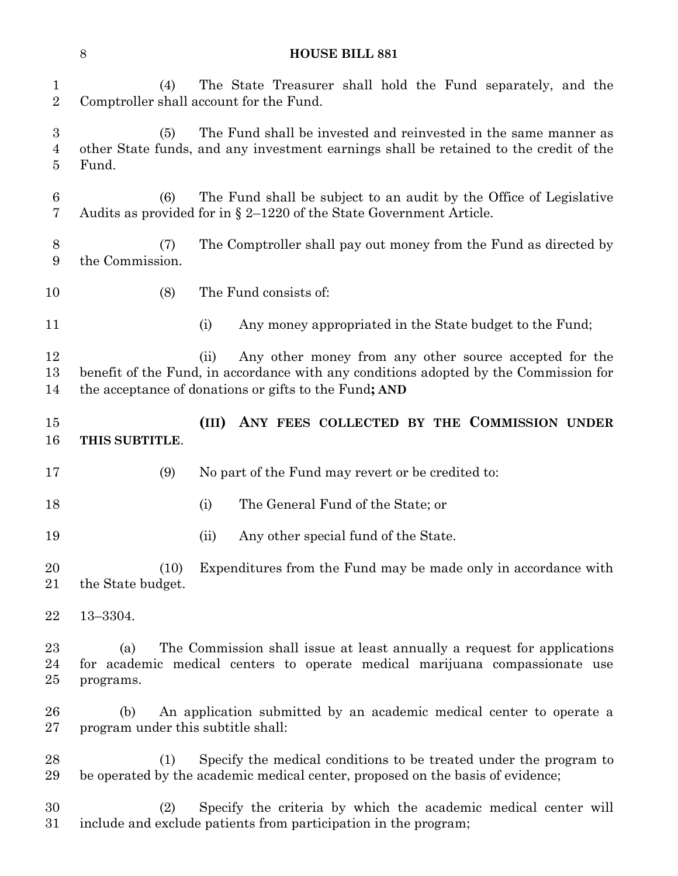| <b>HOUSE BILL 881</b>                     |  |  |  |  |  |  |  |  |                                                                 |  |  |
|-------------------------------------------|--|--|--|--|--|--|--|--|-----------------------------------------------------------------|--|--|
| 2 Comptroller shall account for the Fund. |  |  |  |  |  |  |  |  | (4) The State Treasurer shall hold the Fund separately, and the |  |  |

 (5) The Fund shall be invested and reinvested in the same manner as other State funds, and any investment earnings shall be retained to the credit of the Fund.

 (6) The Fund shall be subject to an audit by the Office of Legislative Audits as provided for in § 2–1220 of the State Government Article.

 (7) The Comptroller shall pay out money from the Fund as directed by the Commission.

(8) The Fund consists of:

11 (i) Any money appropriated in the State budget to the Fund;

12 (ii) Any other money from any other source accepted for the benefit of the Fund, in accordance with any conditions adopted by the Commission for the acceptance of donations or gifts to the Fund**; AND**

 **(III) ANY FEES COLLECTED BY THE COMMISSION UNDER THIS SUBTITLE**.

(9) No part of the Fund may revert or be credited to:

- (i) The General Fund of the State; or
- 19 (ii) Any other special fund of the State.

20 (10) Expenditures from the Fund may be made only in accordance with 21 the State budget.

13–3304.

 (a) The Commission shall issue at least annually a request for applications for academic medical centers to operate medical marijuana compassionate use programs.

 (b) An application submitted by an academic medical center to operate a program under this subtitle shall:

 (1) Specify the medical conditions to be treated under the program to be operated by the academic medical center, proposed on the basis of evidence;

 (2) Specify the criteria by which the academic medical center will include and exclude patients from participation in the program;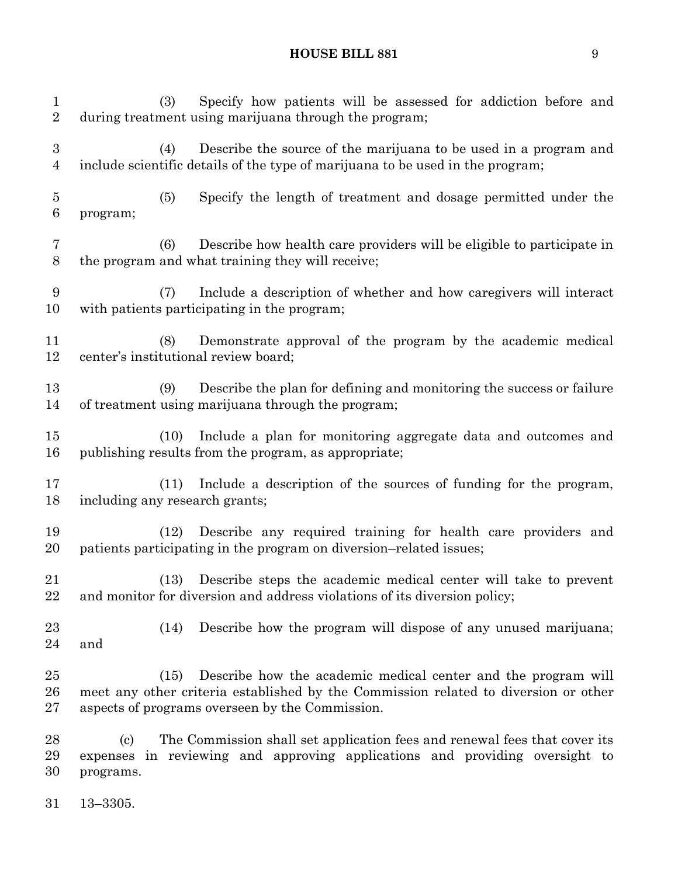| $\mathbf{1}$<br>$\overline{2}$     | Specify how patients will be assessed for addiction before and<br>(3)<br>during treatment using marijuana through the program;                                                                                  |
|------------------------------------|-----------------------------------------------------------------------------------------------------------------------------------------------------------------------------------------------------------------|
| $\boldsymbol{3}$<br>$\overline{4}$ | Describe the source of the marijuana to be used in a program and<br>(4)<br>include scientific details of the type of marijuana to be used in the program;                                                       |
| $\overline{5}$<br>$\,6$            | Specify the length of treatment and dosage permitted under the<br>(5)<br>program;                                                                                                                               |
| 7<br>$8\,$                         | Describe how health care providers will be eligible to participate in<br>(6)<br>the program and what training they will receive;                                                                                |
| 9<br>10                            | Include a description of whether and how caregivers will interact<br>(7)<br>with patients participating in the program;                                                                                         |
| 11<br>12                           | Demonstrate approval of the program by the academic medical<br>(8)<br>center's institutional review board;                                                                                                      |
| 13<br>14                           | Describe the plan for defining and monitoring the success or failure<br>(9)<br>of treatment using marijuana through the program;                                                                                |
| 15<br>16                           | Include a plan for monitoring aggregate data and outcomes and<br>(10)<br>publishing results from the program, as appropriate;                                                                                   |
| 17<br>18                           | Include a description of the sources of funding for the program,<br>(11)<br>including any research grants;                                                                                                      |
| 19<br>20                           | Describe any required training for health care providers and<br>(12)<br>patients participating in the program on diversion-related issues;                                                                      |
| 21<br>22                           | Describe steps the academic medical center will take to prevent<br>(13)<br>and monitor for diversion and address violations of its diversion policy;                                                            |
| 23<br>24                           | Describe how the program will dispose of any unused marijuana;<br>(14)<br>and                                                                                                                                   |
| 25<br>26<br>27                     | Describe how the academic medical center and the program will<br>(15)<br>meet any other criteria established by the Commission related to diversion or other<br>aspects of programs overseen by the Commission. |
| 28<br>29<br>30                     | The Commission shall set application fees and renewal fees that cover its<br>(c)<br>in reviewing and approving applications and providing oversight to<br>expenses<br>programs.                                 |
| 31                                 | $13 - 3305.$                                                                                                                                                                                                    |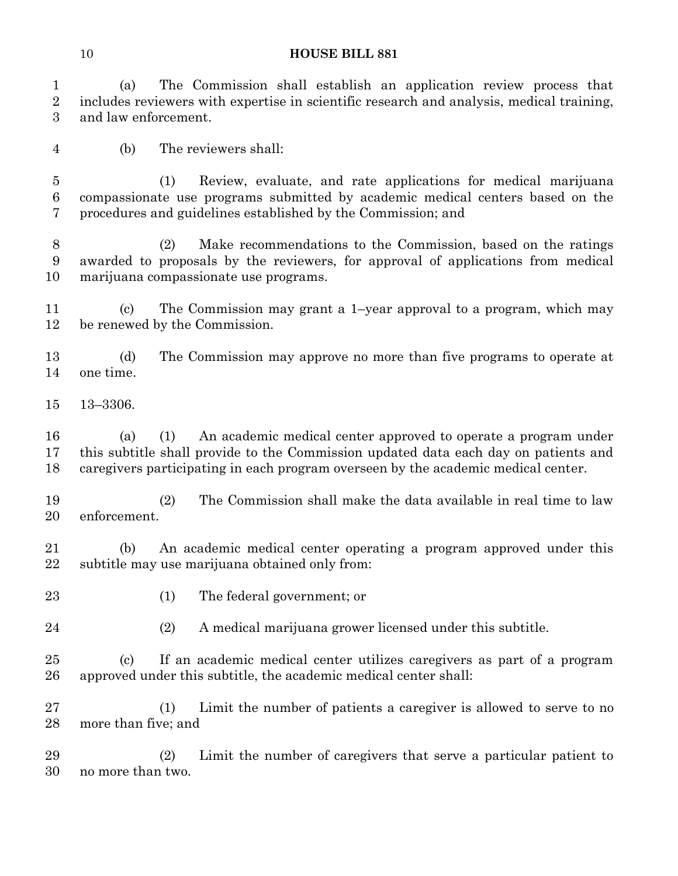(a) The Commission shall establish an application review process that includes reviewers with expertise in scientific research and analysis, medical training, and law enforcement.

(b) The reviewers shall:

 (1) Review, evaluate, and rate applications for medical marijuana compassionate use programs submitted by academic medical centers based on the procedures and guidelines established by the Commission; and

 (2) Make recommendations to the Commission, based on the ratings awarded to proposals by the reviewers, for approval of applications from medical marijuana compassionate use programs.

 (c) The Commission may grant a 1–year approval to a program, which may be renewed by the Commission.

 (d) The Commission may approve no more than five programs to operate at one time.

13–3306.

 (a) (1) An academic medical center approved to operate a program under this subtitle shall provide to the Commission updated data each day on patients and caregivers participating in each program overseen by the academic medical center.

 (2) The Commission shall make the data available in real time to law enforcement.

 (b) An academic medical center operating a program approved under this subtitle may use marijuana obtained only from:

- 
- (1) The federal government; or
- (2) A medical marijuana grower licensed under this subtitle.

 (c) If an academic medical center utilizes caregivers as part of a program approved under this subtitle, the academic medical center shall:

 (1) Limit the number of patients a caregiver is allowed to serve to no more than five; and

 (2) Limit the number of caregivers that serve a particular patient to no more than two.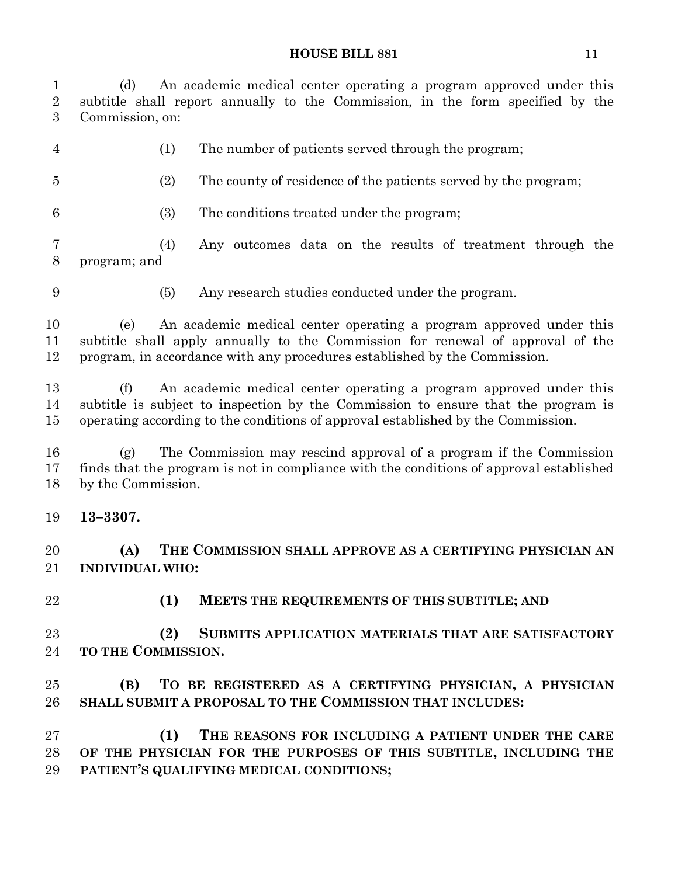(d) An academic medical center operating a program approved under this subtitle shall report annually to the Commission, in the form specified by the Commission, on: (1) The number of patients served through the program;

- (2) The county of residence of the patients served by the program;
- (3) The conditions treated under the program;

 (4) Any outcomes data on the results of treatment through the program; and

(5) Any research studies conducted under the program.

 (e) An academic medical center operating a program approved under this subtitle shall apply annually to the Commission for renewal of approval of the program, in accordance with any procedures established by the Commission.

 (f) An academic medical center operating a program approved under this subtitle is subject to inspection by the Commission to ensure that the program is operating according to the conditions of approval established by the Commission.

 (g) The Commission may rescind approval of a program if the Commission finds that the program is not in compliance with the conditions of approval established by the Commission.

**13–3307.**

 **(A) THE COMMISSION SHALL APPROVE AS A CERTIFYING PHYSICIAN AN INDIVIDUAL WHO:**

**(1) MEETS THE REQUIREMENTS OF THIS SUBTITLE; AND** 

 **(2) SUBMITS APPLICATION MATERIALS THAT ARE SATISFACTORY TO THE COMMISSION.**

 **(B) TO BE REGISTERED AS A CERTIFYING PHYSICIAN, A PHYSICIAN SHALL SUBMIT A PROPOSAL TO THE COMMISSION THAT INCLUDES:**

 **(1) THE REASONS FOR INCLUDING A PATIENT UNDER THE CARE OF THE PHYSICIAN FOR THE PURPOSES OF THIS SUBTITLE, INCLUDING THE PATIENT'S QUALIFYING MEDICAL CONDITIONS;**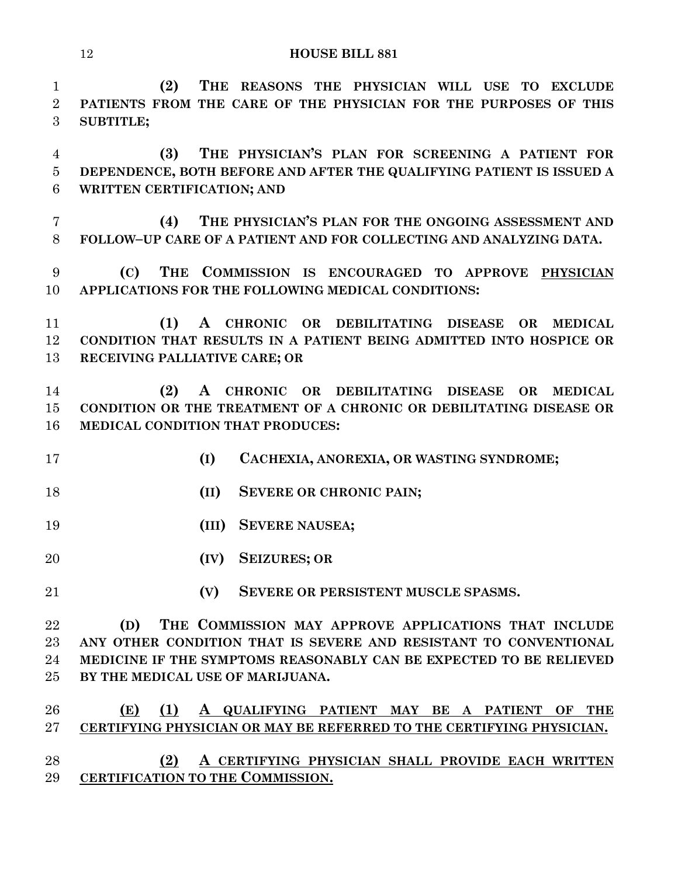**(2) THE REASONS THE PHYSICIAN WILL USE TO EXCLUDE PATIENTS FROM THE CARE OF THE PHYSICIAN FOR THE PURPOSES OF THIS SUBTITLE; (3) THE PHYSICIAN'S PLAN FOR SCREENING A PATIENT FOR DEPENDENCE, BOTH BEFORE AND AFTER THE QUALIFYING PATIENT IS ISSUED A WRITTEN CERTIFICATION; AND (4) THE PHYSICIAN'S PLAN FOR THE ONGOING ASSESSMENT AND FOLLOW–UP CARE OF A PATIENT AND FOR COLLECTING AND ANALYZING DATA. (C) THE COMMISSION IS ENCOURAGED TO APPROVE PHYSICIAN APPLICATIONS FOR THE FOLLOWING MEDICAL CONDITIONS:**

 **(1) A CHRONIC OR DEBILITATING DISEASE OR MEDICAL CONDITION THAT RESULTS IN A PATIENT BEING ADMITTED INTO HOSPICE OR RECEIVING PALLIATIVE CARE; OR** 

 **(2) A CHRONIC OR DEBILITATING DISEASE OR MEDICAL CONDITION OR THE TREATMENT OF A CHRONIC OR DEBILITATING DISEASE OR MEDICAL CONDITION THAT PRODUCES:**

- **(I) CACHEXIA, ANOREXIA, OR WASTING SYNDROME;**
- **(II) SEVERE OR CHRONIC PAIN;**
- **(III) SEVERE NAUSEA;**
- **(IV) SEIZURES; OR**
- **(V) SEVERE OR PERSISTENT MUSCLE SPASMS.**

 **(D) THE COMMISSION MAY APPROVE APPLICATIONS THAT INCLUDE ANY OTHER CONDITION THAT IS SEVERE AND RESISTANT TO CONVENTIONAL MEDICINE IF THE SYMPTOMS REASONABLY CAN BE EXPECTED TO BE RELIEVED BY THE MEDICAL USE OF MARIJUANA.**

# **(E) (1) A QUALIFYING PATIENT MAY BE A PATIENT OF THE CERTIFYING PHYSICIAN OR MAY BE REFERRED TO THE CERTIFYING PHYSICIAN. (2) A CERTIFYING PHYSICIAN SHALL PROVIDE EACH WRITTEN**

**CERTIFICATION TO THE COMMISSION.**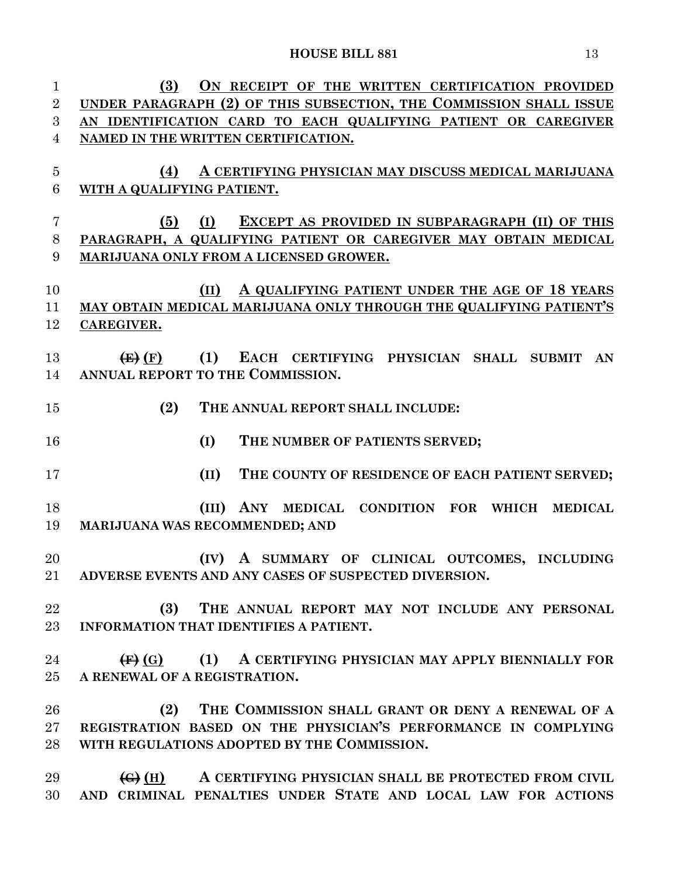**(3) ON RECEIPT OF THE WRITTEN CERTIFICATION PROVIDED UNDER PARAGRAPH (2) OF THIS SUBSECTION, THE COMMISSION SHALL ISSUE AN IDENTIFICATION CARD TO EACH QUALIFYING PATIENT OR CAREGIVER NAMED IN THE WRITTEN CERTIFICATION. (4) A CERTIFYING PHYSICIAN MAY DISCUSS MEDICAL MARIJUANA WITH A QUALIFYING PATIENT. (5) (I) EXCEPT AS PROVIDED IN SUBPARAGRAPH (II) OF THIS PARAGRAPH, A QUALIFYING PATIENT OR CAREGIVER MAY OBTAIN MEDICAL MARIJUANA ONLY FROM A LICENSED GROWER. (II) A QUALIFYING PATIENT UNDER THE AGE OF 18 YEARS MAY OBTAIN MEDICAL MARIJUANA ONLY THROUGH THE QUALIFYING PATIENT'S CAREGIVER. (E) (F) (1) EACH CERTIFYING PHYSICIAN SHALL SUBMIT AN ANNUAL REPORT TO THE COMMISSION. (2) THE ANNUAL REPORT SHALL INCLUDE: (I) THE NUMBER OF PATIENTS SERVED; (II) THE COUNTY OF RESIDENCE OF EACH PATIENT SERVED; (III) ANY MEDICAL CONDITION FOR WHICH MEDICAL MARIJUANA WAS RECOMMENDED; AND (IV) A SUMMARY OF CLINICAL OUTCOMES, INCLUDING ADVERSE EVENTS AND ANY CASES OF SUSPECTED DIVERSION. (3) THE ANNUAL REPORT MAY NOT INCLUDE ANY PERSONAL INFORMATION THAT IDENTIFIES A PATIENT. (F) (G) (1) A CERTIFYING PHYSICIAN MAY APPLY BIENNIALLY FOR A RENEWAL OF A REGISTRATION. (2) THE COMMISSION SHALL GRANT OR DENY A RENEWAL OF A REGISTRATION BASED ON THE PHYSICIAN'S PERFORMANCE IN COMPLYING WITH REGULATIONS ADOPTED BY THE COMMISSION. (G) (H) A CERTIFYING PHYSICIAN SHALL BE PROTECTED FROM CIVIL AND CRIMINAL PENALTIES UNDER STATE AND LOCAL LAW FOR ACTIONS**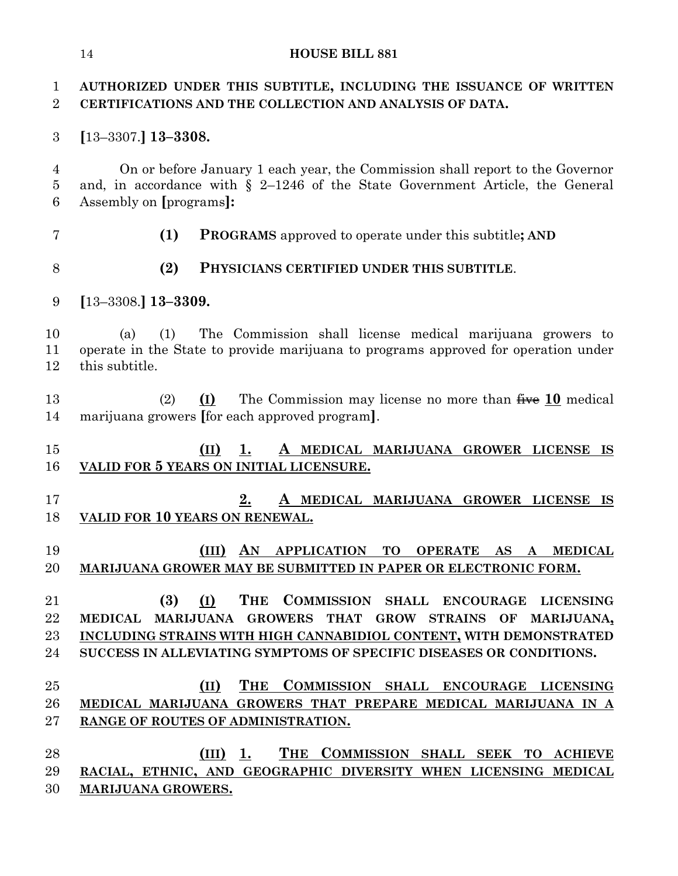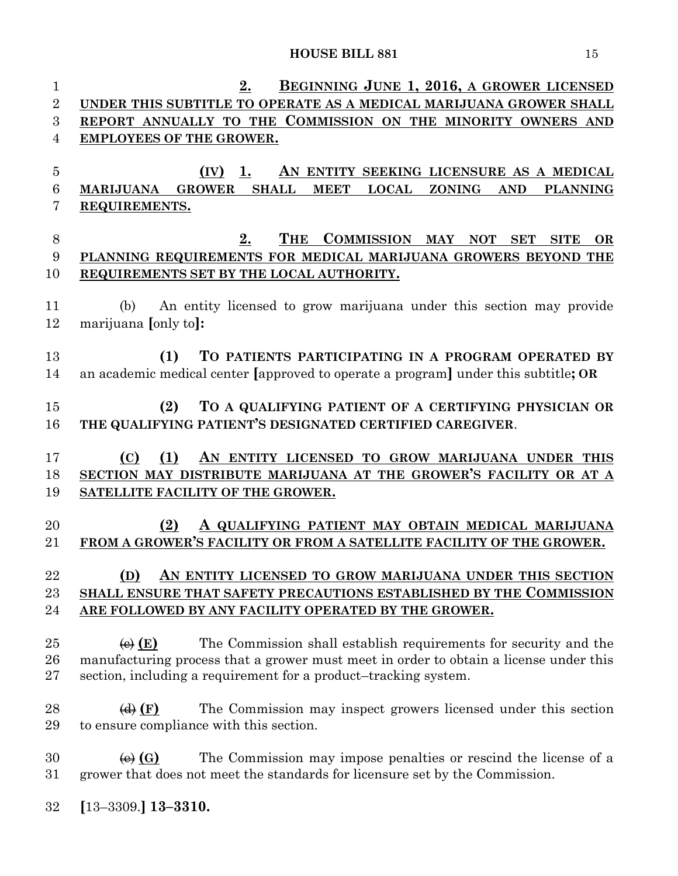**2. BEGINNING JUNE 1, 2016, A GROWER LICENSED UNDER THIS SUBTITLE TO OPERATE AS A MEDICAL MARIJUANA GROWER SHALL REPORT ANNUALLY TO THE COMMISSION ON THE MINORITY OWNERS AND EMPLOYEES OF THE GROWER. (IV) 1. AN ENTITY SEEKING LICENSURE AS A MEDICAL MARIJUANA GROWER SHALL MEET LOCAL ZONING AND PLANNING REQUIREMENTS. 2. THE COMMISSION MAY NOT SET SITE OR PLANNING REQUIREMENTS FOR MEDICAL MARIJUANA GROWERS BEYOND THE REQUIREMENTS SET BY THE LOCAL AUTHORITY.** (b) An entity licensed to grow marijuana under this section may provide marijuana **[**only to**]: (1) TO PATIENTS PARTICIPATING IN A PROGRAM OPERATED BY** an academic medical center **[**approved to operate a program**]** under this subtitle**; OR (2) TO A QUALIFYING PATIENT OF A CERTIFYING PHYSICIAN OR THE QUALIFYING PATIENT'S DESIGNATED CERTIFIED CAREGIVER**. **(C) (1) AN ENTITY LICENSED TO GROW MARIJUANA UNDER THIS SECTION MAY DISTRIBUTE MARIJUANA AT THE GROWER'S FACILITY OR AT A SATELLITE FACILITY OF THE GROWER. (2) A QUALIFYING PATIENT MAY OBTAIN MEDICAL MARIJUANA FROM A GROWER'S FACILITY OR FROM A SATELLITE FACILITY OF THE GROWER. (D) AN ENTITY LICENSED TO GROW MARIJUANA UNDER THIS SECTION SHALL ENSURE THAT SAFETY PRECAUTIONS ESTABLISHED BY THE COMMISSION ARE FOLLOWED BY ANY FACILITY OPERATED BY THE GROWER. (a) (b)** The Commission shall establish requirements for security and the manufacturing process that a grower must meet in order to obtain a license under this section, including a requirement for a product–tracking system. 28 (d) **(F)** The Commission may inspect growers licensed under this section to ensure compliance with this section.  $\leftarrow$   $\left(\bullet\right)$  **C** $\right)$  The Commission may impose penalties or rescind the license of a grower that does not meet the standards for licensure set by the Commission. **[**13–3309.**] 13–3310.**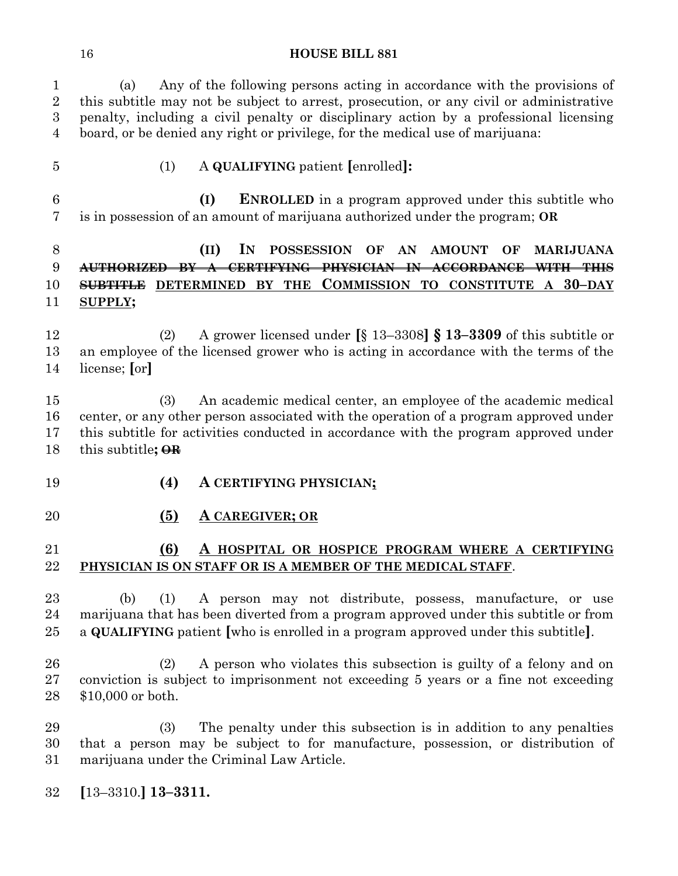(a) Any of the following persons acting in accordance with the provisions of this subtitle may not be subject to arrest, prosecution, or any civil or administrative penalty, including a civil penalty or disciplinary action by a professional licensing board, or be denied any right or privilege, for the medical use of marijuana:

- 
- (1) A **QUALIFYING** patient **[**enrolled**]:**

 **(I) ENROLLED** in a program approved under this subtitle who is in possession of an amount of marijuana authorized under the program; **OR** 

# **(II) IN POSSESSION OF AN AMOUNT OF MARIJUANA AUTHORIZED BY A CERTIFYING PHYSICIAN IN ACCORDANCE WITH THIS SUBTITLE DETERMINED BY THE COMMISSION TO CONSTITUTE A 30–DAY SUPPLY;**

 (2) A grower licensed under **[**§ 13–3308**] § 13–3309** of this subtitle or an employee of the licensed grower who is acting in accordance with the terms of the license; **[**or**]**

 (3) An academic medical center, an employee of the academic medical center, or any other person associated with the operation of a program approved under this subtitle for activities conducted in accordance with the program approved under this subtitle**; OR**

- **(4) A CERTIFYING PHYSICIAN;**
- 

### **(5) A CAREGIVER; OR**

## **(6) A HOSPITAL OR HOSPICE PROGRAM WHERE A CERTIFYING PHYSICIAN IS ON STAFF OR IS A MEMBER OF THE MEDICAL STAFF**.

- (b) (1) A person may not distribute, possess, manufacture, or use marijuana that has been diverted from a program approved under this subtitle or from a **QUALIFYING** patient **[**who is enrolled in a program approved under this subtitle**]**.
- (2) A person who violates this subsection is guilty of a felony and on conviction is subject to imprisonment not exceeding 5 years or a fine not exceeding \$10,000 or both.

 (3) The penalty under this subsection is in addition to any penalties that a person may be subject to for manufacture, possession, or distribution of marijuana under the Criminal Law Article.

**[**13–3310.**] 13–3311.**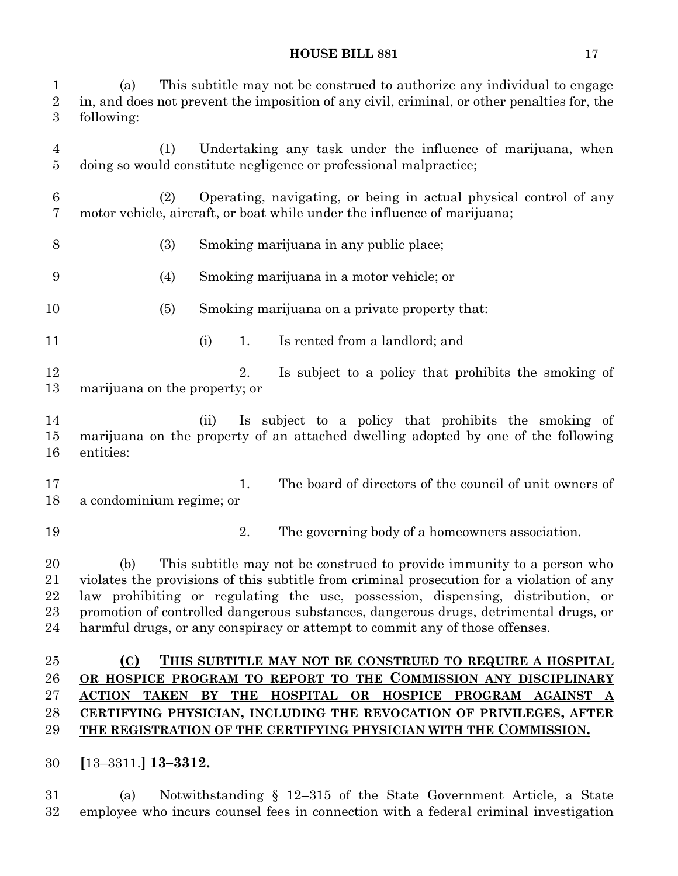(a) This subtitle may not be construed to authorize any individual to engage in, and does not prevent the imposition of any civil, criminal, or other penalties for, the following: (1) Undertaking any task under the influence of marijuana, when doing so would constitute negligence or professional malpractice; (2) Operating, navigating, or being in actual physical control of any motor vehicle, aircraft, or boat while under the influence of marijuana; (3) Smoking marijuana in any public place; (4) Smoking marijuana in a motor vehicle; or (5) Smoking marijuana on a private property that: (i) 1. Is rented from a landlord; and 12 12 2. Is subject to a policy that prohibits the smoking of marijuana on the property; or (ii) Is subject to a policy that prohibits the smoking of marijuana on the property of an attached dwelling adopted by one of the following entities: 17 1. The board of directors of the council of unit owners of a condominium regime; or 2. The governing body of a homeowners association. (b) This subtitle may not be construed to provide immunity to a person who violates the provisions of this subtitle from criminal prosecution for a violation of any law prohibiting or regulating the use, possession, dispensing, distribution, or promotion of controlled dangerous substances, dangerous drugs, detrimental drugs, or harmful drugs, or any conspiracy or attempt to commit any of those offenses. **(C) THIS SUBTITLE MAY NOT BE CONSTRUED TO REQUIRE A HOSPITAL OR HOSPICE PROGRAM TO REPORT TO THE COMMISSION ANY DISCIPLINARY ACTION TAKEN BY THE HOSPITAL OR HOSPICE PROGRAM AGAINST A CERTIFYING PHYSICIAN, INCLUDING THE REVOCATION OF PRIVILEGES, AFTER THE REGISTRATION OF THE CERTIFYING PHYSICIAN WITH THE COMMISSION. [**13–3311.**] 13–3312.**

 (a) Notwithstanding § 12–315 of the State Government Article, a State employee who incurs counsel fees in connection with a federal criminal investigation